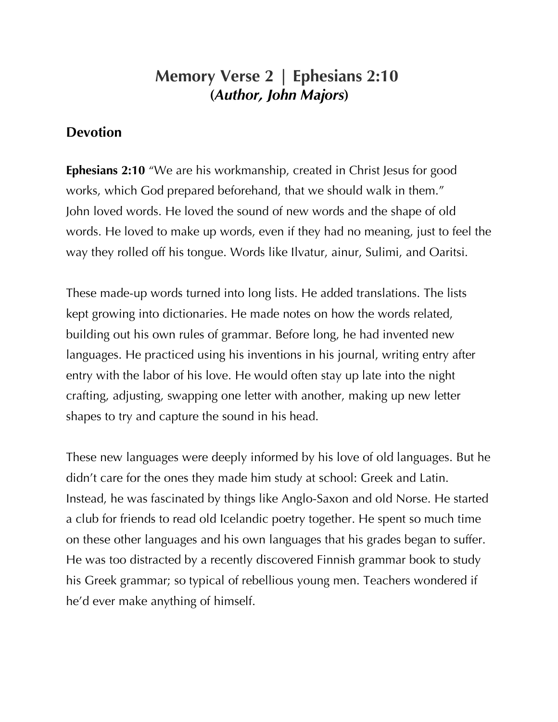## **Memory Verse 2 | Ephesians 2:10 (***Author, John Majors***)**

## **Devotion**

**Ephesians 2:10** "We are his workmanship, created in Christ Jesus for good works, which God prepared beforehand, that we should walk in them." John loved words. He loved the sound of new words and the shape of old words. He loved to make up words, even if they had no meaning, just to feel the way they rolled off his tongue. Words like Ilvatur, ainur, Sulimi, and Oaritsi.

These made-up words turned into long lists. He added translations. The lists kept growing into dictionaries. He made notes on how the words related, building out his own rules of grammar. Before long, he had invented new languages. He practiced using his inventions in his journal, writing entry after entry with the labor of his love. He would often stay up late into the night crafting, adjusting, swapping one letter with another, making up new letter shapes to try and capture the sound in his head.

These new languages were deeply informed by his love of old languages. But he didn't care for the ones they made him study at school: Greek and Latin. Instead, he was fascinated by things like Anglo-Saxon and old Norse. He started a club for friends to read old Icelandic poetry together. He spent so much time on these other languages and his own languages that his grades began to suffer. He was too distracted by a recently discovered Finnish grammar book to study his Greek grammar; so typical of rebellious young men. Teachers wondered if he'd ever make anything of himself.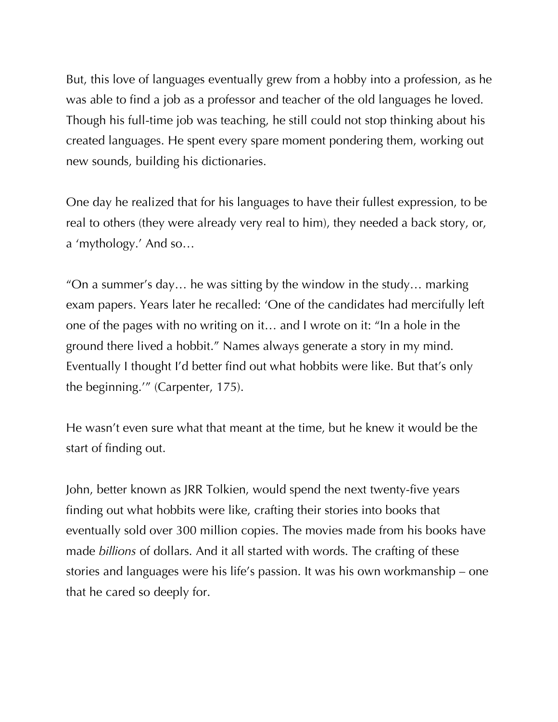But, this love of languages eventually grew from a hobby into a profession, as he was able to find a job as a professor and teacher of the old languages he loved. Though his full-time job was teaching, he still could not stop thinking about his created languages. He spent every spare moment pondering them, working out new sounds, building his dictionaries.

One day he realized that for his languages to have their fullest expression, to be real to others (they were already very real to him), they needed a back story, or, a 'mythology.' And so…

"On a summer's day… he was sitting by the window in the study… marking exam papers. Years later he recalled: 'One of the candidates had mercifully left one of the pages with no writing on it… and I wrote on it: "In a hole in the ground there lived a hobbit." Names always generate a story in my mind. Eventually I thought I'd better find out what hobbits were like. But that's only the beginning.'" (Carpenter, 175).

He wasn't even sure what that meant at the time, but he knew it would be the start of finding out.

John, better known as JRR Tolkien, would spend the next twenty-five years finding out what hobbits were like, crafting their stories into books that eventually sold over 300 million copies. The movies made from his books have made *billions* of dollars. And it all started with words. The crafting of these stories and languages were his life's passion. It was his own workmanship – one that he cared so deeply for.